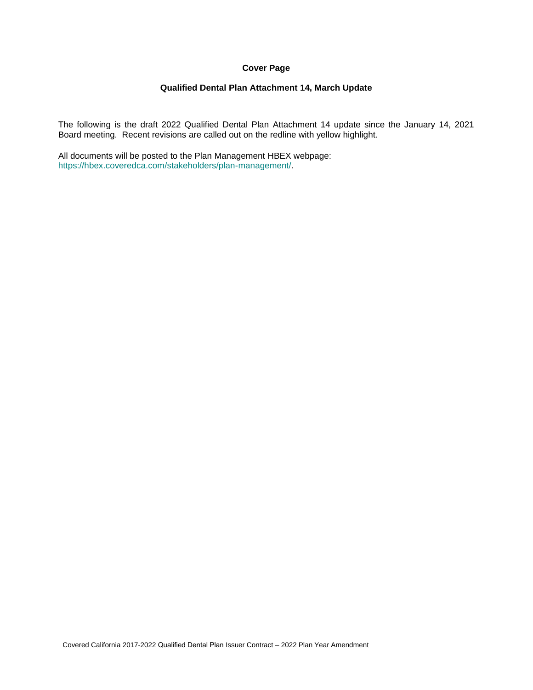# **Cover Page**

# **Qualified Dental Plan Attachment 14, March Update**

The following is the draft 2022 Qualified Dental Plan Attachment 14 update since the January 14, 2021 Board meeting. Recent revisions are called out on the redline with yellow highlight.

All documents will be posted to the Plan Management HBEX webpage: https://hbex.coveredca.com/stakeholders/plan-management/.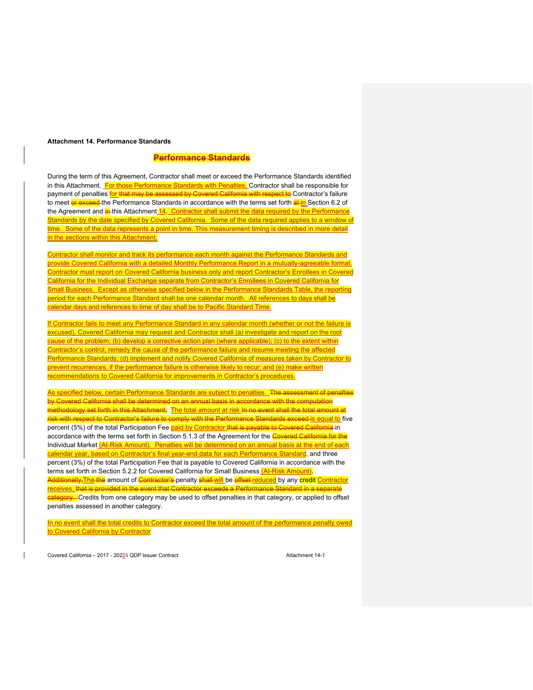#### **Attachment 14. Performance Standards**

#### **Performance Standards**

During the term of this Agreement, Contractor shall meet or exceed the Performance Standards identified in this Attachment. For those Performance Standards with Penalties, Contractor shall be responsible for payment of penalties for that may be assessed by Covered California with respect to Contractor's failure to meet or exceed the Performance Standards in accordance with the terms set forth at in Section 6.2 of the Agreement and in this Attachment 14. Contractor shall submit the data required by the Performance Standards by the date specified by Covered California. Some of the data required applies to a window of time. Some of the data represents a point in time. This measurement timing is described in more detail in the sections within this Attachment.

Contractor shall monitor and track its performance each month against the Performance Standards and provide Covered California with a detailed Monthly Performance Report in a mutually-agreeable format. Contractor must report on Covered California business only and report Contractor's Enrollees in Covered California for the Individual Exchange separate from Contractor's Enrollees in Covered California for Small Business. Except as otherwise specified below in the Performance Standards Table, the reporting period for each Performance Standard shall be one calendar month. All references to days shall be calendar days and references to time of day shall be to Pacific Standard Time.

If Contractor fails to meet any Performance Standard in any calendar month (whether or not the failure is excused), Covered California may request and Contractor shall (a) investigate and report on the root cause of the problem; (b) develop a corrective action plan (where applicable); (c) to the extent within Contractor's control, remedy the cause of the performance failure and resume meeting the affected Performance Standards; (d) implement and notify Covered California of measures taken by Contractor to prevent recurrences, if the performance failure is otherwise likely to recur; and (e) make written recommendations to Covered California for improvements in Contractor's procedures.

As specified below, certain Performance Standards are subject to penalties. The assessment of penalties by Covered California shall be determined on an annual basis in accordance with the computation methodology set forth in this Attachment. The total amount at risk In no event shall the total amount at risk with respect to Contractor's failure to comply with the Performance Standards exceed is equal to five percent (5%) of the total Participation Fee **paid by Contractor that is payable to Covered California** in accordance with the terms set forth in Section 5.1.3 of the Agreement for the Covered California for the Individual Market *(At-Risk Amount). Penalties will be determined on an annual basis at the end of each* calendar year, based on Contractor's final year-end data for each Performance Standard, and three percent (3%) of the total Participation Fee that is payable to Covered California in accordance with the terms set forth in Section 5.2.2 for Covered California for Small Business (At-Risk Amount). <mark>Additionally,The the</mark> amount of <mark>Contractor's</mark> penalty <mark>shall will</mark> be <mark>effset <u>r</u>educed</mark> by any <mark>credit <u>Contractor</u></mark> receives. that is provided in the event that Contractor exceeds a Performance Standard in a separate <mark>category. -</mark>Credits from one category may be used to offset penalties in that category, or applied to offset penalties assessed in another category.

In no event shall the total credits to Contractor exceed the total amount of the performance penalty owed to Covered California by Contractor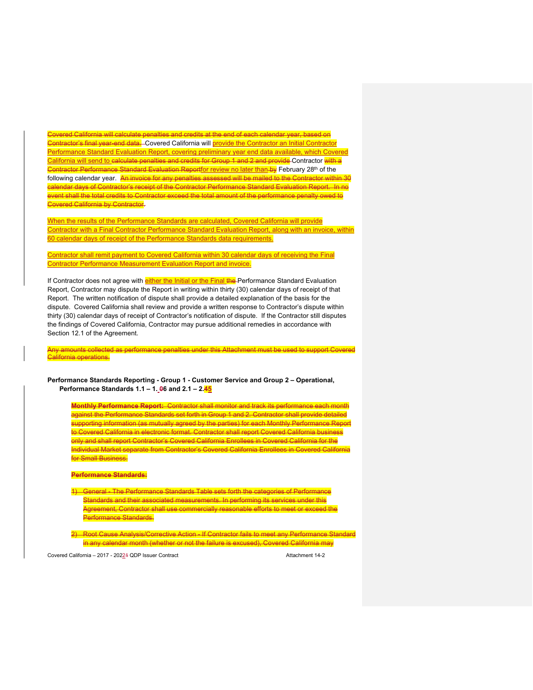Covered California will calculate penalties and credits at the end of each calendar year, based on Contractor's final year-end data. Covered California will provide the Contractor an Initial Contractor Performance Standard Evaluation Report, covering preliminary year end data available, which Covered California will send to calculate penalties and credits for Group 1 and 2 and provide Contractor with a <mark>Contractor Performance Standard Evaluation Report<u>for review no later than</u> by February 28<sup>th</sup> of the</mark> following calendar year. <mark>An invoice for any penalties assessed will be mailed to the Contractor within 30</mark> calendar days of Contractor's receipt of the Contractor Performance Standard Evaluation Report. In no event shall the total credits to Contractor exceed the total amount of the performance penalty owed to Covered California by Contractor.

When the results of the Performance Standards are calculated, Covered California will provide Contractor with a Final Contractor Performance Standard Evaluation Report, along with an invoice, within 60 calendar days of receipt of the Performance Standards data requirements.

Contractor shall remit payment to Covered California within 30 calendar days of receiving the Final Contractor Performance Measurement Evaluation Report and invoice.

If Contractor does not agree with either the Initial or the Final the Performance Standard Evaluation Report, Contractor may dispute the Report in writing within thirty (30) calendar days of receipt of that Report. The written notification of dispute shall provide a detailed explanation of the basis for the dispute. Covered California shall review and provide a written response to Contractor's dispute within thirty (30) calendar days of receipt of Contractor's notification of dispute. If the Contractor still disputes the findings of Covered California, Contractor may pursue additional remedies in accordance with Section 12.1 of the Agreement.

Any amounts collected as performance penalties under this Attachment must be used to support Covered California operations.

**Performance Standards Reporting - Group 1 - Customer Service and Group 2 – Operational, Performance Standards 1.1 – 1. 06 and 2.1 – 2.45**

**Monthly Performance Report:** Contractor shall monitor and track its performance each month against the Performance Standards set forth in Group 1 and 2. Contractor shall provide detailed supporting information (as mutually agreed by the parties) for each Monthly Performance Report to Covered California in electronic format. Contractor shall report Covered California business only and shall report Contractor's Covered California Enrollees in Covered California for the Individual Market separate from Contractor's Covered California Enrollees in Covered California for Small Business.

#### **Performance Standards:**

- **General The Performance Standards Table sets forth the categories of Performance** Standards and their associated measurements. In performing its services under this Agreement, Contractor shall use commercially reasonable efforts to meet or exceed the Performance Standards.
- 2) Root Cause Analysis/Corrective Action If Contractor fails to meet any Performance Standard in any calendar month (whether or not the failure is excused), Covered California may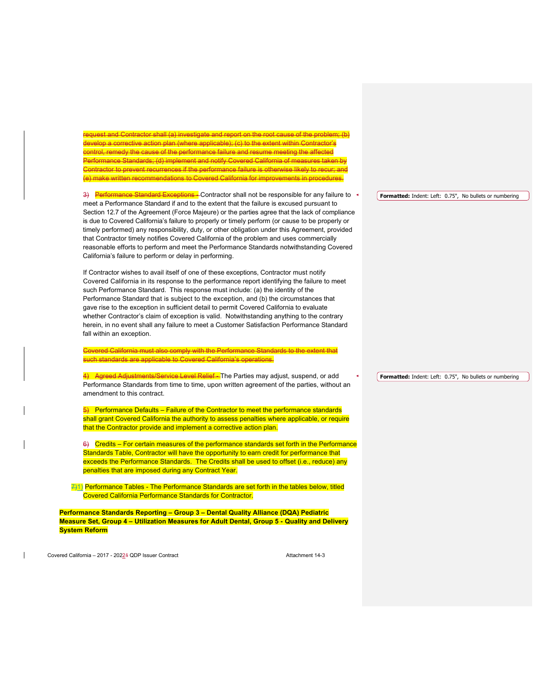request and Contractor shall (a) investigate and report on the root cause of the problem; (b) develop a corrective action plan (where applicable); (c) to the extent within Contractor's ntrol, remedy the cause of the performance failure and resume meeting the affected formance Standards; (d) implement and notify Covered California of measures taken ntractor to prevent recurrences if the performance failure is otherwise likely to recur; and (e) make written recommendations to Covered California for improvements in procedures.

3) Performance Standard Exceptions - Contractor shall not be responsible for any failure to meet a Performance Standard if and to the extent that the failure is excused pursuant to Section 12.7 of the Agreement (Force Majeure) or the parties agree that the lack of compliance is due to Covered California's failure to properly or timely perform (or cause to be properly or timely performed) any responsibility, duty, or other obligation under this Agreement, provided that Contractor timely notifies Covered California of the problem and uses commercially reasonable efforts to perform and meet the Performance Standards notwithstanding Covered California's failure to perform or delay in performing.

If Contractor wishes to avail itself of one of these exceptions, Contractor must notify Covered California in its response to the performance report identifying the failure to meet such Performance Standard. This response must include: (a) the identity of the Performance Standard that is subject to the exception, and (b) the circumstances that gave rise to the exception in sufficient detail to permit Covered California to evaluate whether Contractor's claim of exception is valid. Notwithstanding anything to the contrary herein, in no event shall any failure to meet a Customer Satisfaction Performance Standard fall within an exception.

Covered California must also comply with the Performance Standards to the extent that such standards are applicable to Covered California's operations.

4) Agreed Adiustments/Service Level Relief - The Parties may adjust, suspend, or add Performance Standards from time to time, upon written agreement of the parties, without an amendment to this contract.

5) Performance Defaults – Failure of the Contractor to meet the performance standards shall grant Covered California the authority to assess penalties where applicable, or require that the Contractor provide and implement a corrective action plan.

6) Credits – For certain measures of the performance standards set forth in the Performance Standards Table, Contractor will have the opportunity to earn credit for performance that exceeds the Performance Standards. The Credits shall be used to offset (i.e., reduce) any penalties that are imposed during any Contract Year.

 $7/1$ ) Performance Tables - The Performance Standards are set forth in the tables below, titled Covered California Performance Standards for Contractor.

**Performance Standards Reporting – Group 3 – Dental Quality Alliance (DQA) Pediatric Measure Set, Group 4 – Utilization Measures for Adult Dental, Group 5 - Quality and Delivery System Reform**

Covered California – 2017 - 20224 ODP Issuer Contract Attachment 14-3

**Formatted:** Indent: Left: 0.75", No bullets or numbering

**Formatted:** Indent: Left: 0.75", No bullets or numbering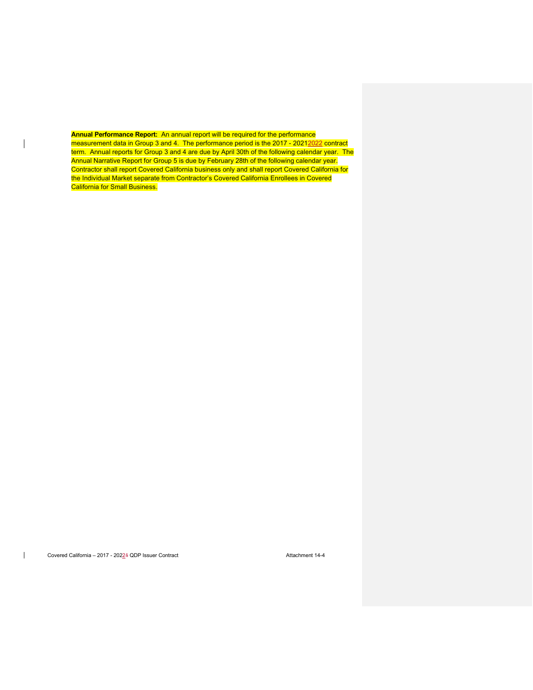**Annual Performance Report:** An annual report will be required for the performance measurement data in Group 3 and 4. The performance period is the 2017 - 20212022 contract term. Annual reports for Group 3 and 4 are due by April 30th of the following calendar year. The Annual Narrative Report for Group 5 is due by February 28th of the following calendar year. Contractor shall report Covered California business only and shall report Covered California for the Individual Market separate from Contractor's Covered California Enrollees in Covered California for Small Business.

 $\overline{\phantom{a}}$ 

 $\overline{\phantom{a}}$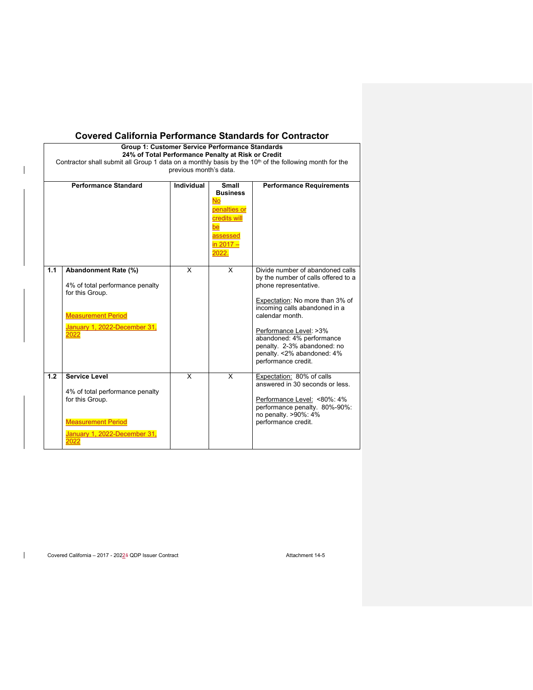|     | Group 1: Customer Service Performance Standards<br>24% of Total Performance Penalty at Risk or Credit<br>Contractor shall submit all Group 1 data on a monthly basis by the 10 <sup>th</sup> of the following month for the | previous month's data. |                                                                                                               |                                                                                                                                                                                                                                                                                                                                     |
|-----|-----------------------------------------------------------------------------------------------------------------------------------------------------------------------------------------------------------------------------|------------------------|---------------------------------------------------------------------------------------------------------------|-------------------------------------------------------------------------------------------------------------------------------------------------------------------------------------------------------------------------------------------------------------------------------------------------------------------------------------|
|     | <b>Performance Standard</b>                                                                                                                                                                                                 | <b>Individual</b>      | Small<br><b>Business</b><br><b>No</b><br>penalties or<br>credits will<br>be<br>assessed<br>in 2017 -<br>2022. | <b>Performance Requirements</b>                                                                                                                                                                                                                                                                                                     |
| 1.1 | Abandonment Rate (%)<br>4% of total performance penalty<br>for this Group.<br><b>Measurement Period</b><br>January 1, 2022-December 31,<br>2022                                                                             | X                      | X                                                                                                             | Divide number of abandoned calls<br>by the number of calls offered to a<br>phone representative.<br>Expectation: No more than 3% of<br>incoming calls abandoned in a<br>calendar month.<br>Performance Level: >3%<br>abandoned: 4% performance<br>penalty. 2-3% abandoned: no<br>penalty. < 2% abandoned: 4%<br>performance credit. |
| 1.2 | <b>Service Level</b><br>4% of total performance penalty<br>for this Group.<br><b>Measurement Period</b><br>January 1, 2022-December 31,<br>2022                                                                             | X                      | X                                                                                                             | Expectation: 80% of calls<br>answered in 30 seconds or less<br>Performance Level: <80%: 4%<br>performance penalty. 80%-90%:<br>no penalty. >90%: 4%<br>performance credit.                                                                                                                                                          |

Covered California - 2017 - 2022 4 QDP Issuer Contract Attachment 14-5

 $\overline{\phantom{a}}$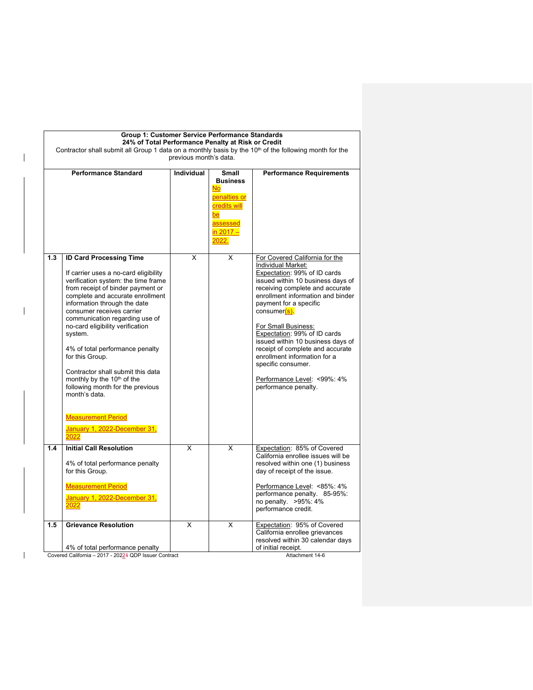|     | Group 1: Customer Service Performance Standards<br>24% of Total Performance Penalty at Risk or Credit<br>Contractor shall submit all Group 1 data on a monthly basis by the 10 <sup>th</sup> of the following month for the                                                                                                                                                                                                                                                                                                                                                                 | previous month's data. |                                                                                                                 |                                                                                                                                                                                                                                                                                                                                                                                                                                                                                          |
|-----|---------------------------------------------------------------------------------------------------------------------------------------------------------------------------------------------------------------------------------------------------------------------------------------------------------------------------------------------------------------------------------------------------------------------------------------------------------------------------------------------------------------------------------------------------------------------------------------------|------------------------|-----------------------------------------------------------------------------------------------------------------|------------------------------------------------------------------------------------------------------------------------------------------------------------------------------------------------------------------------------------------------------------------------------------------------------------------------------------------------------------------------------------------------------------------------------------------------------------------------------------------|
|     | <b>Performance Standard</b>                                                                                                                                                                                                                                                                                                                                                                                                                                                                                                                                                                 | Individual             | Small<br><b>Business</b><br><b>No</b><br>penalties or<br>credits will<br>be<br>assessed<br>in $2017 -$<br>2022. | <b>Performance Requirements</b>                                                                                                                                                                                                                                                                                                                                                                                                                                                          |
| 1.3 | <b>ID Card Processing Time</b><br>If carrier uses a no-card eligibility<br>verification system: the time frame<br>from receipt of binder payment or<br>complete and accurate enrollment<br>information through the date<br>consumer receives carrier<br>communication regarding use of<br>no-card eligibility verification<br>system.<br>4% of total performance penalty<br>for this Group.<br>Contractor shall submit this data<br>monthly by the 10 <sup>th</sup> of the<br>following month for the previous<br>month's data<br><b>Measurement Period</b><br>January 1, 2022-December 31, | X                      | X                                                                                                               | For Covered California for the<br>Individual Market:<br>Expectation: 99% of ID cards<br>issued within 10 business days of<br>receiving complete and accurate<br>enrollment information and binder<br>payment for a specific<br>consumer(s)<br>For Small Business:<br>Expectation: 99% of ID cards<br>issued within 10 business days of<br>receipt of complete and accurate<br>enrollment information for a<br>specific consumer.<br>Performance Level: < 99%: 4%<br>performance penalty. |
| 1.4 | 2022<br><b>Initial Call Resolution</b><br>4% of total performance penalty<br>for this Group.<br><b>Measurement Period</b><br>January 1, 2022-December 31,<br>2022                                                                                                                                                                                                                                                                                                                                                                                                                           | X                      | X                                                                                                               | Expectation: 85% of Covered<br>California enrollee issues will be<br>resolved within one (1) business<br>day of receipt of the issue.<br>Performance Level: <85%: 4%<br>performance penalty. 85-95%:<br>no penalty. >95%: 4%                                                                                                                                                                                                                                                             |
| 1.5 | <b>Grievance Resolution</b><br>4% of total performance penalty                                                                                                                                                                                                                                                                                                                                                                                                                                                                                                                              | X                      | X                                                                                                               | performance credit.<br>Expectation: 95% of Covered<br>California enrollee grievances<br>resolved within 30 calendar days<br>of initial receipt.                                                                                                                                                                                                                                                                                                                                          |

 $\mathbf{I}$ 

 $\overline{1}$ 

 $\mathbf{I}$ 

Attachment 14-6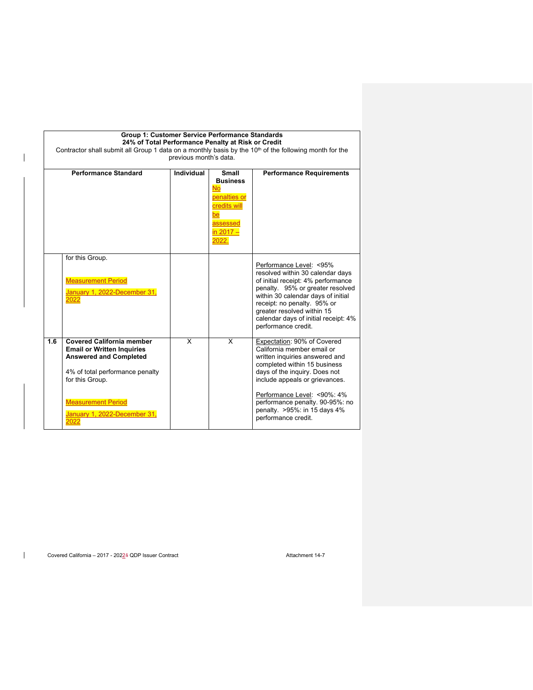|     | Group 1: Customer Service Performance Standards<br>24% of Total Performance Penalty at Risk or Credit<br>Contractor shall submit all Group 1 data on a monthly basis by the 10 <sup>th</sup> of the following month for the<br>previous month's data. |            |                                                                                                               |                                                                                                                                                                                                                                                                                                         |  |  |
|-----|-------------------------------------------------------------------------------------------------------------------------------------------------------------------------------------------------------------------------------------------------------|------------|---------------------------------------------------------------------------------------------------------------|---------------------------------------------------------------------------------------------------------------------------------------------------------------------------------------------------------------------------------------------------------------------------------------------------------|--|--|
|     | <b>Performance Standard</b>                                                                                                                                                                                                                           | Individual | Small<br><b>Business</b><br><b>No</b><br>penalties or<br>credits will<br>be<br>assessed<br>in 2017 -<br>2022. | <b>Performance Requirements</b>                                                                                                                                                                                                                                                                         |  |  |
|     | for this Group.<br><b>Measurement Period</b><br>January 1, 2022-December 31,<br>2022                                                                                                                                                                  |            |                                                                                                               | Performance Level: <95%<br>resolved within 30 calendar days<br>of initial receipt: 4% performance<br>penalty. 95% or greater resolved<br>within 30 calendar days of initial<br>receipt: no penalty. 95% or<br>greater resolved within 15<br>calendar days of initial receipt: 4%<br>performance credit. |  |  |
| 1.6 | <b>Covered California member</b><br><b>Email or Written Inquiries</b><br><b>Answered and Completed</b><br>4% of total performance penalty<br>for this Group.                                                                                          | X          | X                                                                                                             | Expectation: 90% of Covered<br>California member email or<br>written inquiries answered and<br>completed within 15 business<br>days of the inquiry. Does not<br>include appeals or grievances.                                                                                                          |  |  |
|     | <b>Measurement Period</b><br>January 1, 2022-December 31,<br>2022                                                                                                                                                                                     |            |                                                                                                               | Performance Level: <90%: 4%<br>performance penalty. 90-95%: no<br>penalty. >95%: in 15 days 4%<br>performance credit.                                                                                                                                                                                   |  |  |

Covered California - 2017 - 20224 QDP Issuer Contract Attachment 14-7

 $\begin{array}{c} \hline \end{array}$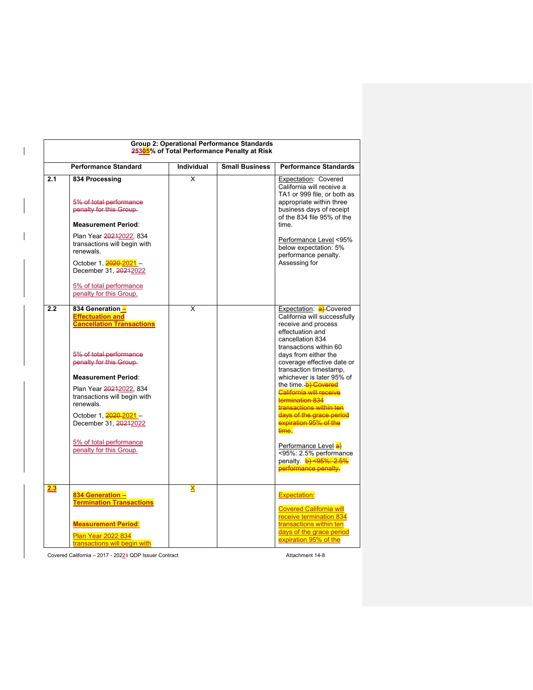|     | <b>Performance Standard</b>                                                                                                                                                                                                                                                                                                                          | <b>Individual</b> | <b>Small Business</b> | <b>Performance Standards</b>                                                                                                                                                                                                                                                                                                                                                                                                                                                                                                                   |
|-----|------------------------------------------------------------------------------------------------------------------------------------------------------------------------------------------------------------------------------------------------------------------------------------------------------------------------------------------------------|-------------------|-----------------------|------------------------------------------------------------------------------------------------------------------------------------------------------------------------------------------------------------------------------------------------------------------------------------------------------------------------------------------------------------------------------------------------------------------------------------------------------------------------------------------------------------------------------------------------|
| 2.1 | 834 Processing<br>5% of total performance<br>penalty for this Group.<br><b>Measurement Period:</b><br>Plan Year 20212022, 834<br>transactions will begin with<br>renewals.<br>October 1, 2020-2021-<br>December 31, 20212022<br>5% of total performance<br>penalty for this Group.                                                                   | X                 |                       | Expectation: Covered<br>California will receive a<br>TA1 or 999 file, or both as<br>appropriate within three<br>business days of receipt<br>of the 834 file 95% of the<br>time.<br>Performance Level <95%<br>below expectation: 5%<br>performance penalty.<br>Assessing for                                                                                                                                                                                                                                                                    |
| 2.2 | 834 Generation -<br><b>Effectuation and</b><br><b>Cancellation Transactions</b><br>5% of total performance<br>penalty for this Group.<br><b>Measurement Period:</b><br>Plan Year 20212022, 834<br>transactions will begin with<br>renewals.<br>October 1, 2020-2021 -<br>December 31, 20242022<br>5% of total performance<br>penalty for this Group. | X                 |                       | Expectation: a) Covered<br>California will successfully<br>receive and process<br>effectuation and<br>cancellation 834<br>transactions within 60<br>days from either the<br>coverage effective date or<br>transaction timestamp,<br>whichever is later 95% of<br>the time <b>b</b> ) Covered<br><b>California will receive</b><br>termination 834<br>transactions within ten<br>days of the grace period<br>expiration 95% of the<br>time.<br>Performance Level a)<br><95%: 2.5% performance<br>penalty. b) <95%: 2.5%<br>performance penalty. |
| 2.3 | 834 Generation -<br><b>Termination Transactions</b><br><b>Measurement Period:</b><br>Plan Year 2022 834<br>transactions will begin with                                                                                                                                                                                                              | X                 |                       | <b>Expectation:</b><br><b>Covered California will</b><br>receive termination 834<br>transactions within ten<br>days of the grace period<br>expiration 95% of the                                                                                                                                                                                                                                                                                                                                                                               |

Covered California – 2017 - 20224 QDP Issuer Contract Attachment 14-8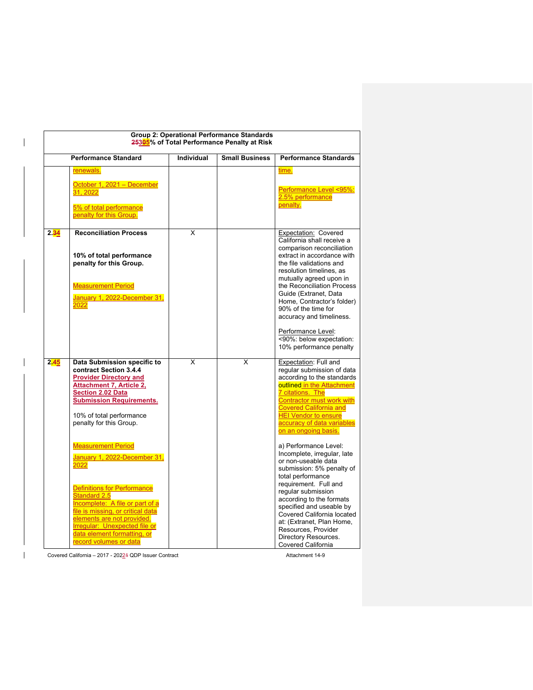|      |                                                                                                                                                                                                                                                                                                                                                                                                                                                                                                                   |            | Group 2: Operational Performance Standards<br>25305% of Total Performance Penalty at Risk |                                                                                                                                                                                                                                                                                                                                                                                                                                                                                                                                                                                                  |
|------|-------------------------------------------------------------------------------------------------------------------------------------------------------------------------------------------------------------------------------------------------------------------------------------------------------------------------------------------------------------------------------------------------------------------------------------------------------------------------------------------------------------------|------------|-------------------------------------------------------------------------------------------|--------------------------------------------------------------------------------------------------------------------------------------------------------------------------------------------------------------------------------------------------------------------------------------------------------------------------------------------------------------------------------------------------------------------------------------------------------------------------------------------------------------------------------------------------------------------------------------------------|
|      | <b>Performance Standard</b>                                                                                                                                                                                                                                                                                                                                                                                                                                                                                       | Individual | <b>Small Business</b>                                                                     | <b>Performance Standards</b>                                                                                                                                                                                                                                                                                                                                                                                                                                                                                                                                                                     |
|      | renewals.<br>October 1, 2021 - December<br>31, 2022<br>5% of total performance<br>penalty for this Group.                                                                                                                                                                                                                                                                                                                                                                                                         |            |                                                                                           | time.<br>Performance Level <95%:<br>2.5% performance<br>penalty.                                                                                                                                                                                                                                                                                                                                                                                                                                                                                                                                 |
| 2.34 | <b>Reconciliation Process</b><br>10% of total performance<br>penalty for this Group.<br><b>Measurement Period</b><br>January 1, 2022-December 31,<br>2022                                                                                                                                                                                                                                                                                                                                                         | X          |                                                                                           | Expectation: Covered<br>California shall receive a<br>comparison reconciliation<br>extract in accordance with<br>the file validations and<br>resolution timelines, as<br>mutually agreed upon in<br>the Reconciliation Process<br>Guide (Extranet, Data<br>Home, Contractor's folder)<br>90% of the time for<br>accuracy and timeliness.<br>Performance Level:<br><90%: below expectation:<br>10% performance penalty                                                                                                                                                                            |
| 2.45 | Data Submission specific to<br>contract Section 3.4.4<br><b>Provider Directory and</b><br><b>Attachment 7, Article 2,</b><br><b>Section 2.02 Data</b><br><b>Submission Requirements.</b><br>10% of total performance<br>penalty for this Group.<br><b>Measurement Period</b><br>January 1, 2022-December 31,<br>2022<br>Definitions for Performance<br>Standard 2.5<br>Incomplete: A file or part of a<br>file is missing, or critical data<br>elements are not provided.<br><b>Irregular: Unexpected file or</b> | X          | X                                                                                         | Expectation: Full and<br>regular submission of data<br>according to the standards<br>outlined in the Attachment<br>7 citations. The<br><b>Contractor must work with</b><br><b>Covered California and</b><br><b>HEI Vendor to ensure</b><br>accuracy of data variables<br>on an ongoing basis.<br>a) Performance Level:<br>Incomplete, irregular, late<br>or non-useable data<br>submission: 5% penalty of<br>total performance<br>requirement. Full and<br>regular submission<br>according to the formats<br>specified and useable by<br>Covered California located<br>at: (Extranet, Plan Home, |

Covered California – 2017 - 20224 QDP Issuer Contract Attachment 14-9

 $\overline{\phantom{a}}$ 

 $\overline{\phantom{a}}$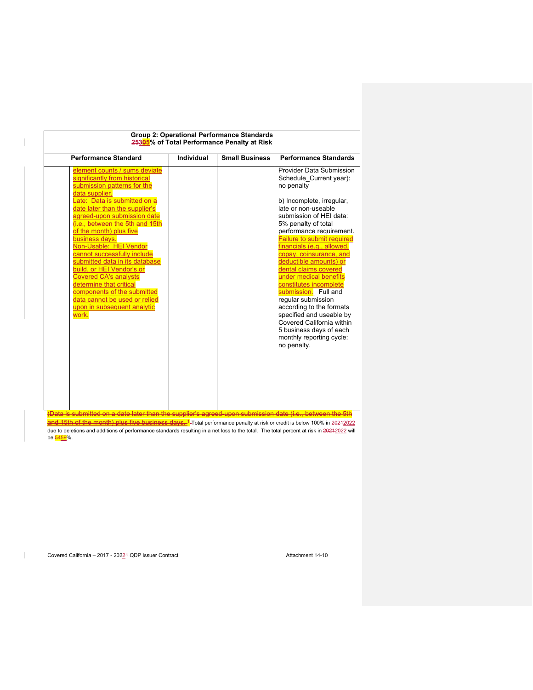| <b>Performance Standard</b>                                                                                                                                                                                                                                                                                                                                                                                                                                                                                                                                                                 |
|---------------------------------------------------------------------------------------------------------------------------------------------------------------------------------------------------------------------------------------------------------------------------------------------------------------------------------------------------------------------------------------------------------------------------------------------------------------------------------------------------------------------------------------------------------------------------------------------|
| element counts / sums deviate<br>significantly from historical<br>submission patterns for the<br>data supplier.<br>Late: Data is submitted on a<br>date later than the supplier's<br>agreed-upon submission date<br>(i.e., between the 5th and 15th<br>of the month) plus five<br>business days.<br>Non-Usable: HEI Vendor<br>cannot successfully include<br>submitted data in its database<br>build, or HEI Vendor's or<br><b>Covered CA's analysts</b><br>determine that critical<br>components of the submitted<br>data cannot be used or relied<br>upon in subsequent analytic<br>work. |

<mark>and 15th of the month) plus five business days. <sup>1</sup></mark>-Total performance penalty at risk or credit is below 100% in 2<del>021</del>2022 due to deletions and additions of performance standards resulting in a net loss to the total. The total percent at risk in 20212022 will be <mark>54<u>59</u>%.</mark>

 $\mathbf{I}$ 

 $\overline{\phantom{a}}$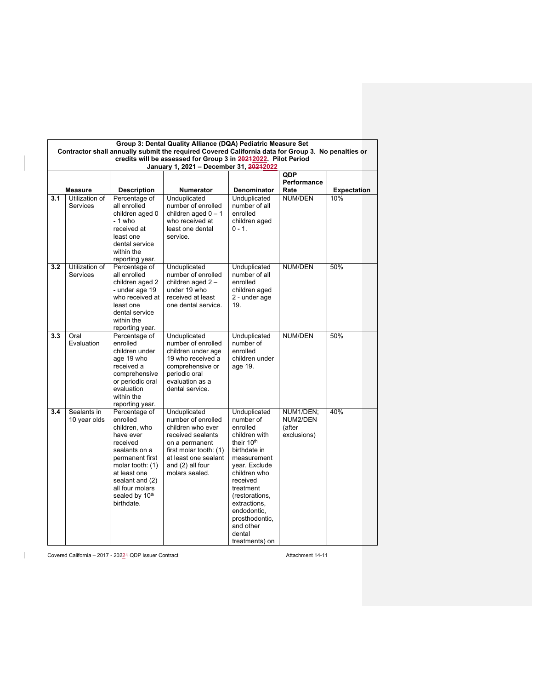|     | Group 3: Dental Quality Alliance (DQA) Pediatric Measure Set<br>Contractor shall annually submit the required Covered California data for Group 3. No penalties or<br>credits will be assessed for Group 3 in 20212022. Pilot Period |                                                                                                                                                                                                                   |                                                                                                                                                                                        |                                                                                                                                                                                                                                                                                       |                                                |                    |  |
|-----|--------------------------------------------------------------------------------------------------------------------------------------------------------------------------------------------------------------------------------------|-------------------------------------------------------------------------------------------------------------------------------------------------------------------------------------------------------------------|----------------------------------------------------------------------------------------------------------------------------------------------------------------------------------------|---------------------------------------------------------------------------------------------------------------------------------------------------------------------------------------------------------------------------------------------------------------------------------------|------------------------------------------------|--------------------|--|
|     |                                                                                                                                                                                                                                      |                                                                                                                                                                                                                   | January 1, 2021 - December 31, 20212022                                                                                                                                                |                                                                                                                                                                                                                                                                                       |                                                |                    |  |
|     | <b>Measure</b>                                                                                                                                                                                                                       | <b>Description</b>                                                                                                                                                                                                | Numerator                                                                                                                                                                              | <b>Denominator</b>                                                                                                                                                                                                                                                                    | QDP<br>Performance<br>Rate                     | <b>Expectation</b> |  |
| 3.1 | Utilization of<br><b>Services</b>                                                                                                                                                                                                    | Percentage of<br>all enrolled<br>children aged 0<br>$-1$ who<br>received at<br>least one<br>dental service<br>within the<br>reporting year.                                                                       | Unduplicated<br>number of enrolled<br>children aged $0 - 1$<br>who received at<br>least one dental<br>service.                                                                         | Unduplicated<br>number of all<br>enrolled<br>children aged<br>$0 - 1.$                                                                                                                                                                                                                | NUM/DEN                                        | 10%                |  |
| 3.2 | Utilization of<br><b>Services</b>                                                                                                                                                                                                    | Percentage of<br>all enrolled<br>children aged 2<br>- under age 19<br>who received at<br>least one<br>dental service<br>within the<br>reporting year.                                                             | Unduplicated<br>number of enrolled<br>children aged 2-<br>under 19 who<br>received at least<br>one dental service.                                                                     | Unduplicated<br>number of all<br>enrolled<br>children aged<br>2 - under age<br>19.                                                                                                                                                                                                    | <b>NUM/DEN</b>                                 | 50%                |  |
| 3.3 | Oral<br>Evaluation                                                                                                                                                                                                                   | Percentage of<br>enrolled<br>children under<br>age 19 who<br>received a<br>comprehensive<br>or periodic oral<br>evaluation<br>within the<br>reporting year.                                                       | Unduplicated<br>number of enrolled<br>children under age<br>19 who received a<br>comprehensive or<br>periodic oral<br>evaluation as a<br>dental service.                               | Unduplicated<br>number of<br>enrolled<br>children under<br>age 19.                                                                                                                                                                                                                    | <b>NUM/DEN</b>                                 | 50%                |  |
| 3.4 | Sealants in<br>10 year olds                                                                                                                                                                                                          | Percentage of<br>enrolled<br>children, who<br>have ever<br>received<br>sealants on a<br>permanent first<br>molar tooth: (1)<br>at least one<br>sealant and (2)<br>all four molars<br>sealed by 10th<br>birthdate. | Unduplicated<br>number of enrolled<br>children who ever<br>received sealants<br>on a permanent<br>first molar tooth: (1)<br>at least one sealant<br>and (2) all four<br>molars sealed. | Unduplicated<br>number of<br>enrolled<br>children with<br>their 10 <sup>th</sup><br>birthdate in<br>measurement<br>year. Exclude<br>children who<br>received<br>treatment<br>(restorations,<br>extractions.<br>endodontic,<br>prosthodontic,<br>and other<br>dental<br>treatments) on | NUM1/DEN;<br>NUM2/DEN<br>(after<br>exclusions) | 40%                |  |

Covered California – 2017 - 2022 4 QDP Issuer Contract Attachment 14-11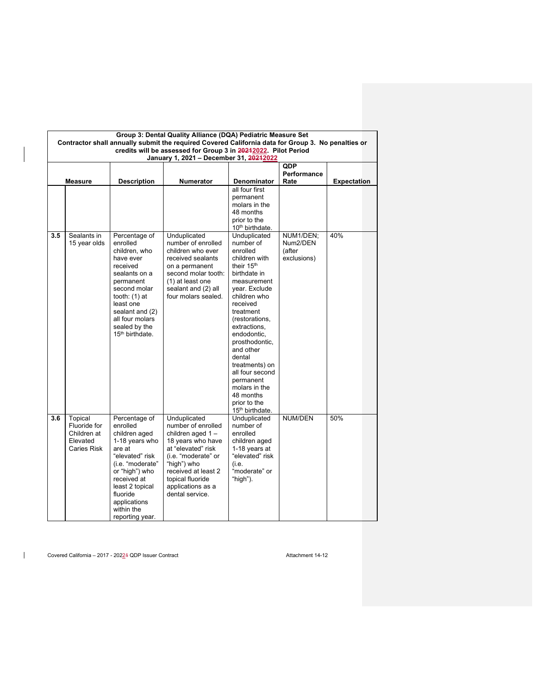|     | Group 3: Dental Quality Alliance (DQA) Pediatric Measure Set<br>Contractor shall annually submit the required Covered California data for Group 3. No penalties or |                                                                                                                                                                                                                                |                                                                                                                                                                                                                            |                                                                                                                                                                                                                                                                                                                                                                        |                                   |                    |  |  |
|-----|--------------------------------------------------------------------------------------------------------------------------------------------------------------------|--------------------------------------------------------------------------------------------------------------------------------------------------------------------------------------------------------------------------------|----------------------------------------------------------------------------------------------------------------------------------------------------------------------------------------------------------------------------|------------------------------------------------------------------------------------------------------------------------------------------------------------------------------------------------------------------------------------------------------------------------------------------------------------------------------------------------------------------------|-----------------------------------|--------------------|--|--|
|     | credits will be assessed for Group 3 in 20212022. Pilot Period<br>January 1, 2021 - December 31, 20212022                                                          |                                                                                                                                                                                                                                |                                                                                                                                                                                                                            |                                                                                                                                                                                                                                                                                                                                                                        |                                   |                    |  |  |
|     | Measure                                                                                                                                                            | <b>Description</b>                                                                                                                                                                                                             | <b>Numerator</b>                                                                                                                                                                                                           | <b>Denominator</b>                                                                                                                                                                                                                                                                                                                                                     | <b>QDP</b><br>Performance<br>Rate | <b>Expectation</b> |  |  |
| 3.5 | Sealants in                                                                                                                                                        | Percentage of                                                                                                                                                                                                                  | Unduplicated                                                                                                                                                                                                               | all four first<br>permanent<br>molars in the<br>48 months<br>prior to the<br>10 <sup>th</sup> birthdate.<br>Unduplicated                                                                                                                                                                                                                                               | NUM1/DEN;                         | 40%                |  |  |
|     | 15 year olds                                                                                                                                                       | enrolled<br>children, who<br>have ever<br>received<br>sealants on a<br>permanent<br>second molar<br>tooth: (1) at<br>least one<br>sealant and (2)<br>all four molars<br>sealed by the<br>15 <sup>th</sup> birthdate.           | number of enrolled<br>children who ever<br>received sealants<br>on a permanent<br>second molar tooth:<br>(1) at least one<br>sealant and (2) all<br>four molars sealed.                                                    | number of<br>enrolled<br>children with<br>their 15 <sup>th</sup><br>birthdate in<br>measurement<br>year. Exclude<br>children who<br>received<br>treatment<br>(restorations,<br>extractions.<br>endodontic.<br>prosthodontic,<br>and other<br>dental<br>treatments) on<br>all four second<br>permanent<br>molars in the<br>48 months<br>prior to the<br>15th birthdate. | Num2/DEN<br>(after<br>exclusions) |                    |  |  |
| 3.6 | Topical<br>Fluoride for<br>Children at<br>Elevated<br>Caries Risk                                                                                                  | Percentage of<br>enrolled<br>children aged<br>1-18 years who<br>are at<br>"elevated" risk<br>(i.e. "moderate"<br>or "high") who<br>received at<br>least 2 topical<br>fluoride<br>applications<br>within the<br>reporting year. | Unduplicated<br>number of enrolled<br>children aged 1-<br>18 years who have<br>at "elevated" risk<br>(i.e. "moderate" or<br>"high") who<br>received at least 2<br>topical fluoride<br>applications as a<br>dental service. | Unduplicated<br>number of<br>enrolled<br>children aged<br>1-18 years at<br>"elevated" risk<br>(i.e.<br>"moderate" or<br>"high").                                                                                                                                                                                                                                       | NUM/DEN                           | 50%                |  |  |

Covered California – 2017 - 20224 QDP Issuer Contract Attachment 14-12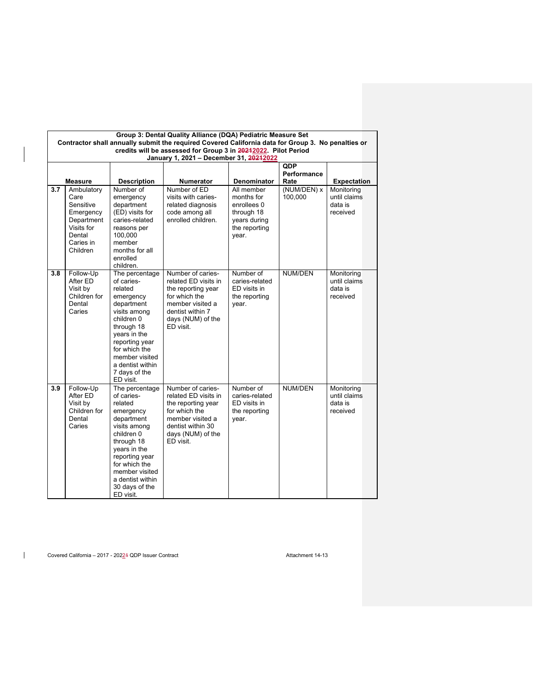|     | Group 3: Dental Quality Alliance (DQA) Pediatric Measure Set<br>Contractor shall annually submit the required Covered California data for Group 3. No penalties or |                                                                                                                                                                                                                                        |                                                                                                                                                             |                                                                                                 |                           |                                                   |  |  |  |
|-----|--------------------------------------------------------------------------------------------------------------------------------------------------------------------|----------------------------------------------------------------------------------------------------------------------------------------------------------------------------------------------------------------------------------------|-------------------------------------------------------------------------------------------------------------------------------------------------------------|-------------------------------------------------------------------------------------------------|---------------------------|---------------------------------------------------|--|--|--|
|     | credits will be assessed for Group 3 in 20242022. Pilot Period                                                                                                     |                                                                                                                                                                                                                                        |                                                                                                                                                             |                                                                                                 |                           |                                                   |  |  |  |
|     |                                                                                                                                                                    |                                                                                                                                                                                                                                        | January 1, 2021 - December 31, 20212022                                                                                                                     |                                                                                                 |                           |                                                   |  |  |  |
|     |                                                                                                                                                                    |                                                                                                                                                                                                                                        |                                                                                                                                                             |                                                                                                 | <b>QDP</b><br>Performance |                                                   |  |  |  |
|     | <b>Measure</b>                                                                                                                                                     | <b>Description</b>                                                                                                                                                                                                                     | <b>Numerator</b>                                                                                                                                            | <b>Denominator</b>                                                                              | Rate                      | <b>Expectation</b>                                |  |  |  |
| 3.7 | Ambulatory<br>Care<br>Sensitive<br>Emergency<br>Department<br>Visits for<br>Dental<br>Caries in<br>Children                                                        | Number of<br>emergency<br>department<br>(ED) visits for<br>caries-related<br>reasons per<br>100,000<br>member<br>months for all<br>enrolled<br>children.                                                                               | Number of ED<br>visits with caries-<br>related diagnosis<br>code among all<br>enrolled children.                                                            | All member<br>months for<br>enrollees 0<br>through 18<br>years during<br>the reporting<br>year. | (NUM/DEN) x<br>100,000    | Monitoring<br>until claims<br>data is<br>received |  |  |  |
| 3.8 | Follow-Up<br>After ED<br>Visit by<br>Children for<br>Dental<br>Caries                                                                                              | The percentage<br>of caries-<br>related<br>emergency<br>department<br>visits among<br>children 0<br>through 18<br>years in the<br>reporting year<br>for which the<br>member visited<br>a dentist within<br>7 days of the<br>ED visit.  | Number of caries-<br>related ED visits in<br>the reporting year<br>for which the<br>member visited a<br>dentist within 7<br>days (NUM) of the<br>ED visit.  | Number of<br>caries-related<br>ED visits in<br>the reporting<br>year.                           | NUM/DEN                   | Monitoring<br>until claims<br>data is<br>received |  |  |  |
| 3.9 | Follow-Up<br>After ED<br>Visit by<br>Children for<br>Dental<br>Caries                                                                                              | The percentage<br>of caries-<br>related<br>emergency<br>department<br>visits among<br>children 0<br>through 18<br>years in the<br>reporting year<br>for which the<br>member visited<br>a dentist within<br>30 days of the<br>ED visit. | Number of caries-<br>related ED visits in<br>the reporting year<br>for which the<br>member visited a<br>dentist within 30<br>days (NUM) of the<br>ED visit. | Number of<br>caries-related<br>ED visits in<br>the reporting<br>year.                           | <b>NUM/DEN</b>            | Monitoring<br>until claims<br>data is<br>received |  |  |  |

Covered California – 2017 - 2022 4 QDP Issuer Contract Attachment 14-13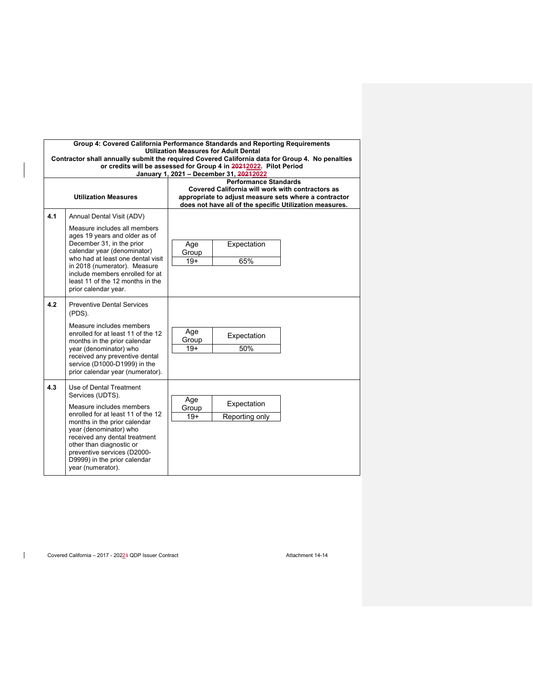|     | Group 4: Covered California Performance Standards and Reporting Requirements<br><b>Utilization Measures for Adult Dental</b><br>Contractor shall annually submit the required Covered California data for Group 4. No penalties<br>or credits will be assessed for Group 4 in 20212022. Pilot Period<br>January 1, 2021 - December 31, 20212022 |                       |                                                                                  |                                                                                                                  |  |  |
|-----|-------------------------------------------------------------------------------------------------------------------------------------------------------------------------------------------------------------------------------------------------------------------------------------------------------------------------------------------------|-----------------------|----------------------------------------------------------------------------------|------------------------------------------------------------------------------------------------------------------|--|--|
|     | <b>Utilization Measures</b>                                                                                                                                                                                                                                                                                                                     |                       | <b>Performance Standards</b><br>Covered California will work with contractors as | appropriate to adjust measure sets where a contractor<br>does not have all of the specific Utilization measures. |  |  |
| 4.1 | Annual Dental Visit (ADV)<br>Measure includes all members<br>ages 19 years and older as of<br>December 31, in the prior<br>calendar year (denominator)<br>who had at least one dental visit<br>in 2018 (numerator). Measure<br>include members enrolled for at                                                                                  | Age<br>Group<br>$19+$ | Expectation<br>65%                                                               |                                                                                                                  |  |  |
|     | least 11 of the 12 months in the<br>prior calendar year.                                                                                                                                                                                                                                                                                        |                       |                                                                                  |                                                                                                                  |  |  |
| 4.2 | <b>Preventive Dental Services</b><br>(PDS).<br>Measure includes members<br>enrolled for at least 11 of the 12<br>months in the prior calendar<br>year (denominator) who<br>received any preventive dental<br>service (D1000-D1999) in the<br>prior calendar year (numerator).                                                                   | Age<br>Group<br>$19+$ | Expectation<br>50%                                                               |                                                                                                                  |  |  |
| 4.3 | Use of Dental Treatment<br>Services (UDTS).<br>Measure includes members<br>enrolled for at least 11 of the 12<br>months in the prior calendar<br>year (denominator) who<br>received any dental treatment<br>other than diagnostic or<br>preventive services (D2000-<br>D9999) in the prior calendar<br>year (numerator).                        | Age<br>Group<br>$19+$ | Expectation<br>Reporting only                                                    |                                                                                                                  |  |  |

Covered California – 2017 - 2022 4 QDP Issuer Contract Attachment 14-14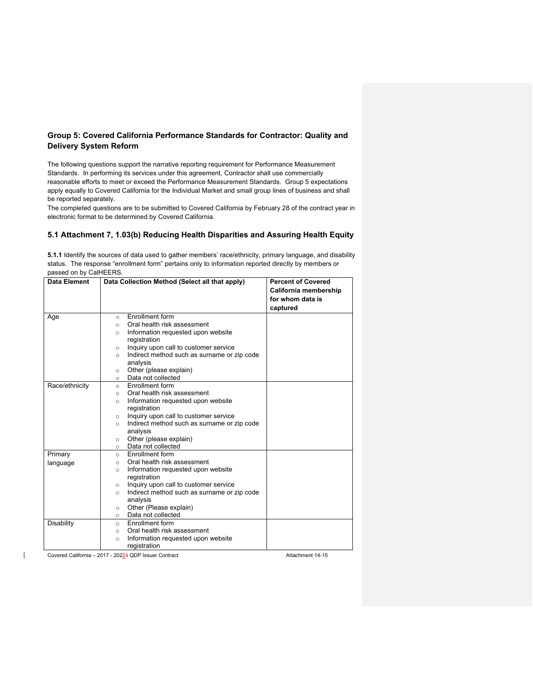# **Group 5: Covered California Performance Standards for Contractor: Quality and Delivery System Reform**

The following questions support the narrative reporting requirement for Performance Measurement Standards. In performing its services under this agreement, Contractor shall use commercially reasonable efforts to meet or exceed the Performance Measurement Standards. Group 5 expectations apply equally to Covered California for the Individual Market and small group lines of business and shall be reported separately.

The completed questions are to be submitted to Covered California by February 28 of the contract year in electronic format to be determined by Covered California.

# **5.1 Attachment 7, 1.03(b) Reducing Health Disparities and Assuring Health Equity**

**5.1.1** Identify the sources of data used to gather members' race/ethnicity, primary language, and disability status. The response "enrollment form" pertains only to information reported directly by members or passed on by CalHEERS.

| Data Element   | Data Collection Method (Select all that apply)         | <b>Percent of Covered</b> |
|----------------|--------------------------------------------------------|---------------------------|
|                |                                                        | California membership     |
|                |                                                        | for whom data is          |
|                |                                                        | captured                  |
| Age            | <b>Fnrollment form</b><br>$\circ$                      |                           |
|                | Oral health risk assessment<br>$\circ$                 |                           |
|                | Information requested upon website<br>$\circ$          |                           |
|                | registration                                           |                           |
|                | Inquiry upon call to customer service<br>$\circ$       |                           |
|                | Indirect method such as surname or zip code<br>$\circ$ |                           |
|                | analysis                                               |                           |
|                | Other (please explain)<br>$\circ$                      |                           |
|                | Data not collected<br>$\circ$                          |                           |
| Race/ethnicity | Enrollment form<br>$\circ$                             |                           |
|                | Oral health risk assessment<br>$\circ$                 |                           |
|                | Information requested upon website<br>$\circ$          |                           |
|                | registration                                           |                           |
|                | Inquiry upon call to customer service<br>$\circ$       |                           |
|                | Indirect method such as surname or zip code<br>$\circ$ |                           |
|                | analysis                                               |                           |
|                | Other (please explain)<br>$\circ$                      |                           |
|                | Data not collected<br>$\circ$                          |                           |
| Primary        | Enrollment form<br>$\circ$                             |                           |
| language       | Oral health risk assessment<br>$\circ$                 |                           |
|                | Information requested upon website<br>$\circ$          |                           |
|                | registration                                           |                           |
|                | Inquiry upon call to customer service<br>$\circ$       |                           |
|                | Indirect method such as surname or zip code<br>$\circ$ |                           |
|                | analysis                                               |                           |
|                | Other (Please explain)<br>$\circ$                      |                           |
|                | Data not collected<br>$\circ$                          |                           |
| Disability     | <b>Enrollment form</b><br>$\circ$                      |                           |
|                | Oral health risk assessment<br>$\circ$                 |                           |
|                | Information requested upon website<br>$\circ$          |                           |
|                | registration                                           |                           |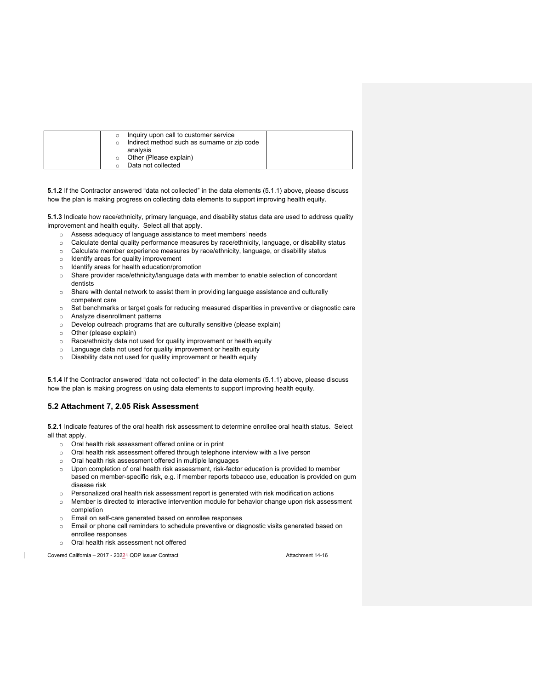| Inquiry upon call to customer service       |  |
|---------------------------------------------|--|
| Indirect method such as surname or zip code |  |
| analvsis                                    |  |
| Other (Please explain)                      |  |
| Data not collected                          |  |

**5.1.2** If the Contractor answered "data not collected" in the data elements (5.1.1) above, please discuss how the plan is making progress on collecting data elements to support improving health equity.

**5.1.3** Indicate how race/ethnicity, primary language, and disability status data are used to address quality improvement and health equity. Select all that apply.

- o Assess adequacy of language assistance to meet members' needs
- o Calculate dental quality performance measures by race/ethnicity, language, or disability status
- o Calculate member experience measures by race/ethnicity, language, or disability status
- o Identify areas for quality improvement
- o Identify areas for health education/promotion
- o Share provider race/ethnicity/language data with member to enable selection of concordant dentists
- o Share with dental network to assist them in providing language assistance and culturally competent care
- o Set benchmarks or target goals for reducing measured disparities in preventive or diagnostic care
- o Analyze disenrollment patterns
- o Develop outreach programs that are culturally sensitive (please explain)
- o Other (please explain)
- o Race/ethnicity data not used for quality improvement or health equity
- o Language data not used for quality improvement or health equity
- o Disability data not used for quality improvement or health equity

**5.1.4** If the Contractor answered "data not collected" in the data elements (5.1.1) above, please discuss how the plan is making progress on using data elements to support improving health equity.

# **5.2 Attachment 7, 2.05 Risk Assessment**

**5.2.1** Indicate features of the oral health risk assessment to determine enrollee oral health status. Select all that apply.

- o Oral health risk assessment offered online or in print
- $\circ$  Oral health risk assessment offered through telephone interview with a live person
- o Oral health risk assessment offered in multiple languages
- $\circ$  Upon completion of oral health risk assessment, risk-factor education is provided to member based on member-specific risk, e.g. if member reports tobacco use, education is provided on gum disease risk
- o Personalized oral health risk assessment report is generated with risk modification actions
- o Member is directed to interactive intervention module for behavior change upon risk assessment completion
- o Email on self-care generated based on enrollee responses
- o Email or phone call reminders to schedule preventive or diagnostic visits generated based on enrollee responses
- o Oral health risk assessment not offered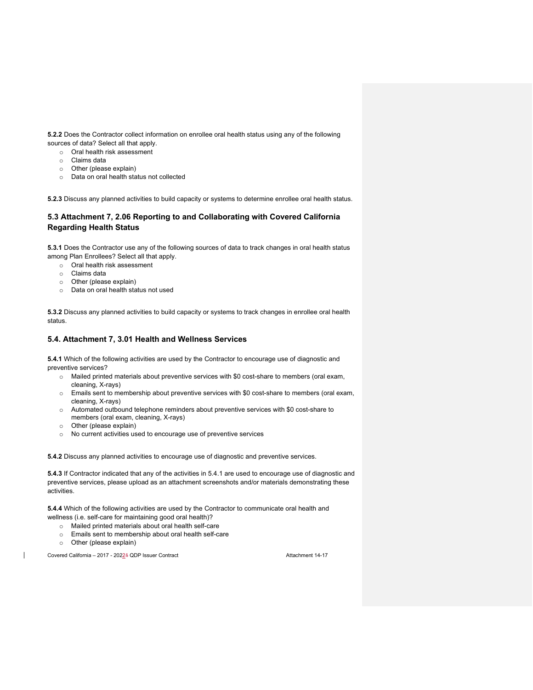**5.2.2** Does the Contractor collect information on enrollee oral health status using any of the following sources of data? Select all that apply.

o Oral health risk assessment

- o Claims data
- o Other (please explain)
- o Data on oral health status not collected

**5.2.3** Discuss any planned activities to build capacity or systems to determine enrollee oral health status.

# **5.3 Attachment 7, 2.06 Reporting to and Collaborating with Covered California Regarding Health Status**

**5.3.1** Does the Contractor use any of the following sources of data to track changes in oral health status among Plan Enrollees? Select all that apply.

- o Oral health risk assessment
- o Claims data
- o Other (please explain)
- o Data on oral health status not used

**5.3.2** Discuss any planned activities to build capacity or systems to track changes in enrollee oral health status.

## **5.4. Attachment 7, 3.01 Health and Wellness Services**

**5.4.1** Which of the following activities are used by the Contractor to encourage use of diagnostic and preventive services?

- o Mailed printed materials about preventive services with \$0 cost-share to members (oral exam, cleaning, X-rays)
- o Emails sent to membership about preventive services with \$0 cost-share to members (oral exam, cleaning, X-rays)
- o Automated outbound telephone reminders about preventive services with \$0 cost-share to members (oral exam, cleaning, X-rays)
- o Other (please explain)
- o No current activities used to encourage use of preventive services

**5.4.2** Discuss any planned activities to encourage use of diagnostic and preventive services.

**5.4.3** If Contractor indicated that any of the activities in 5.4.1 are used to encourage use of diagnostic and preventive services, please upload as an attachment screenshots and/or materials demonstrating these activities.

**5.4.4** Which of the following activities are used by the Contractor to communicate oral health and wellness (i.e. self-care for maintaining good oral health)?

- o Mailed printed materials about oral health self-care
- o Emails sent to membership about oral health self-care
- o Other (please explain)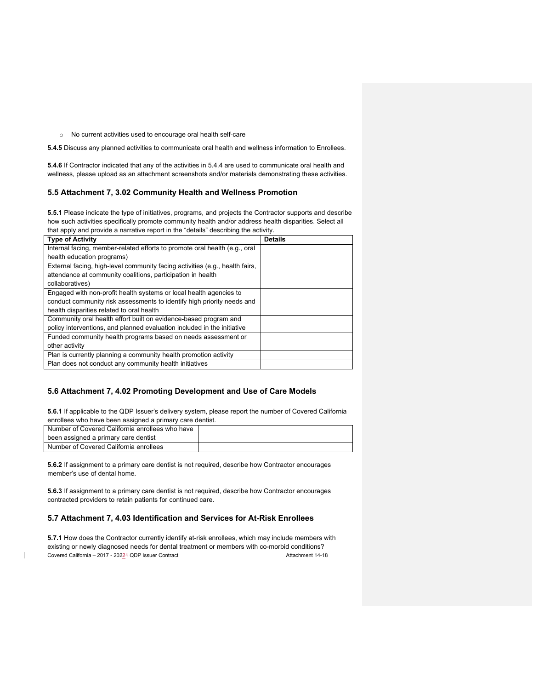o No current activities used to encourage oral health self-care

**5.4.5** Discuss any planned activities to communicate oral health and wellness information to Enrollees.

**5.4.6** If Contractor indicated that any of the activities in 5.4.4 are used to communicate oral health and wellness, please upload as an attachment screenshots and/or materials demonstrating these activities.

## **5.5 Attachment 7, 3.02 Community Health and Wellness Promotion**

**5.5.1** Please indicate the type of initiatives, programs, and projects the Contractor supports and describe how such activities specifically promote community health and/or address health disparities. Select all that apply and provide a narrative report in the "details" describing the activity.

| <b>Details</b> |
|----------------|
|                |
|                |
|                |
|                |
|                |
|                |
|                |
|                |
|                |
|                |
|                |
|                |
|                |
|                |
|                |

## **5.6 Attachment 7, 4.02 Promoting Development and Use of Care Models**

**5.6.1** If applicable to the QDP Issuer's delivery system, please report the number of Covered California enrollees who have been assigned a primary care dentist.

| Number of Covered California enrollees who have |  |
|-------------------------------------------------|--|
| been assigned a primary care dentist            |  |
| Number of Covered California enrollees          |  |

**5.6.2** If assignment to a primary care dentist is not required, describe how Contractor encourages member's use of dental home.

**5.6.3** If assignment to a primary care dentist is not required, describe how Contractor encourages contracted providers to retain patients for continued care.

#### **5.7 Attachment 7, 4.03 Identification and Services for At-Risk Enrollees**

Covered California – 2017 - 20224 QDP Issuer Contract Attachment 14-18 **5.7.1** How does the Contractor currently identify at-risk enrollees, which may include members with existing or newly diagnosed needs for dental treatment or members with co-morbid conditions?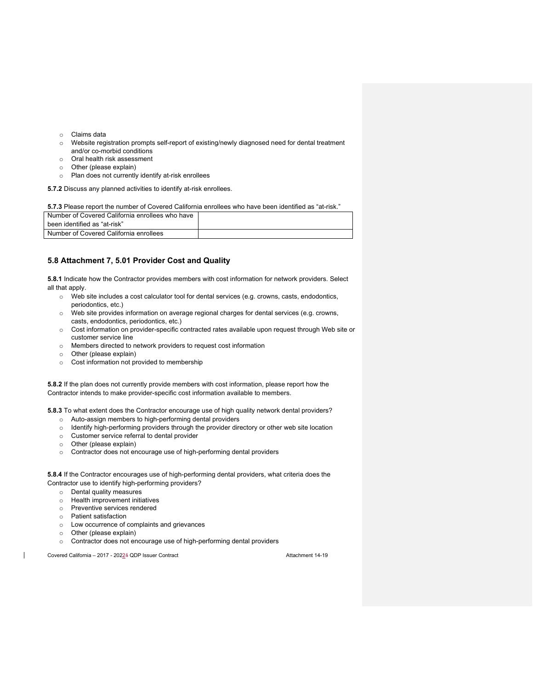- o Claims data
- o Website registration prompts self-report of existing/newly diagnosed need for dental treatment and/or co-morbid conditions
- o Oral health risk assessment
- o Other (please explain)
- o Plan does not currently identify at-risk enrollees

**5.7.2** Discuss any planned activities to identify at-risk enrollees.

| 5.7.3 Please report the number of Covered California enrollees who have been identified as "at-risk." |  |  |
|-------------------------------------------------------------------------------------------------------|--|--|
| Number of Covered California enrollees who have                                                       |  |  |
| been identified as "at-risk"                                                                          |  |  |
| Number of Covered California enrollees                                                                |  |  |

## **5.8 Attachment 7, 5.01 Provider Cost and Quality**

**5.8.1** Indicate how the Contractor provides members with cost information for network providers. Select all that apply.

- o Web site includes a cost calculator tool for dental services (e.g. crowns, casts, endodontics, periodontics, etc.)
- o Web site provides information on average regional charges for dental services (e.g. crowns, casts, endodontics, periodontics, etc.)
- o Cost information on provider-specific contracted rates available upon request through Web site or customer service line
- o Members directed to network providers to request cost information
- o Other (please explain)
- o Cost information not provided to membership

**5.8.2** If the plan does not currently provide members with cost information, please report how the Contractor intends to make provider-specific cost information available to members.

**5.8.3** To what extent does the Contractor encourage use of high quality network dental providers?

- o Auto-assign members to high-performing dental providers
- o Identify high-performing providers through the provider directory or other web site location
- o Customer service referral to dental provider
- o Other (please explain)
- o Contractor does not encourage use of high-performing dental providers

**5.8.4** If the Contractor encourages use of high-performing dental providers, what criteria does the Contractor use to identify high-performing providers?

- o Dental quality measures
- o Health improvement initiatives
- o Preventive services rendered
- o Patient satisfaction
- o Low occurrence of complaints and grievances
- o Other (please explain)
- o Contractor does not encourage use of high-performing dental providers